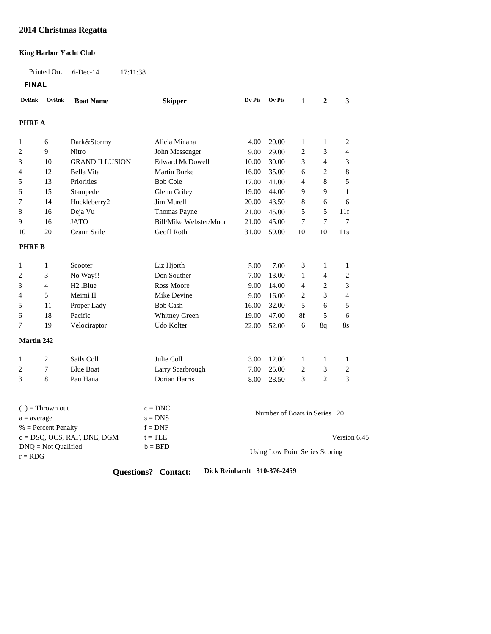## **2014 Christmas Regatta**

### **King Harbor Yacht Club**

Printed On: 6-Dec-14 17:11:38

**FINAL**

| <b>DvRnk</b>                       | OvRnk              | <b>Boat Name</b>      | <b>Skipper</b>         | Dv Pts                         | Ov Pts                       | $\mathbf{1}$   | $\mathbf{2}$   | 3              |  |
|------------------------------------|--------------------|-----------------------|------------------------|--------------------------------|------------------------------|----------------|----------------|----------------|--|
| <b>PHRF A</b>                      |                    |                       |                        |                                |                              |                |                |                |  |
| 1                                  | 6                  | Dark&Stormy           | Alicia Minana          | 4.00                           | 20.00                        | $\mathbf{1}$   | $\mathbf{1}$   | $\overline{c}$ |  |
| 2                                  | 9                  | Nitro                 | John Messenger         | 9.00                           | 29.00                        | $\overline{2}$ | 3              | $\overline{4}$ |  |
| 3                                  | 10                 | <b>GRAND ILLUSION</b> | <b>Edward McDowell</b> | 10.00                          | 30.00                        | 3              | $\overline{4}$ | 3              |  |
| 4                                  | 12                 | Bella Vita            | <b>Martin Burke</b>    | 16.00                          | 35.00                        | 6              | $\overline{c}$ | 8              |  |
| 5                                  | 13                 | Priorities            | <b>Bob Cole</b>        | 17.00                          | 41.00                        | $\overline{4}$ | 8              | 5              |  |
| 6                                  | 15                 | Stampede              | Glenn Griley           | 19.00                          | 44.00                        | 9              | 9              | $\mathbf{1}$   |  |
| 7                                  | 14                 | Huckleberry2          | Jim Murell             | 20.00                          | 43.50                        | 8              | 6              | 6              |  |
| 8                                  | 16                 | Deja Vu               | Thomas Payne           | 21.00                          | 45.00                        | 5              | 5              | 11f            |  |
| 9                                  | 16                 | <b>JATO</b>           | Bill/Mike Webster/Moor | 21.00                          | 45.00                        | $\overline{7}$ | 7              | $\overline{7}$ |  |
| 10                                 | 20                 | Ceann Saile           | Geoff Roth             | 31.00                          | 59.00                        | 10             | 10             | 11s            |  |
| <b>PHRF B</b>                      |                    |                       |                        |                                |                              |                |                |                |  |
|                                    |                    |                       |                        |                                |                              |                |                |                |  |
| 1                                  | $\mathbf{1}$       | Scooter               | Liz Hjorth             | 5.00                           | 7.00                         | 3              | 1              | 1              |  |
| 2                                  | 3                  | No Way!!              | Don Souther            | 7.00                           | 13.00                        | 1              | 4              | $\overline{c}$ |  |
| 3                                  | $\overline{4}$     | H <sub>2</sub> .Blue  | <b>Ross Moore</b>      | 9.00                           | 14.00                        | $\overline{4}$ | $\overline{c}$ | 3              |  |
| 4                                  | 5                  | Meimi II              | Mike Devine            | 9.00                           | 16.00                        | $\overline{c}$ | 3              | $\overline{4}$ |  |
| 5                                  | 11                 | Proper Lady           | <b>Bob Cash</b>        | 16.00                          | 32.00                        | 5              | 6              | 5              |  |
| 6                                  | 18                 | Pacific               | Whitney Green          | 19.00                          | 47.00                        | 8f             | 5              | 6              |  |
| 7                                  | 19                 | Velociraptor          | Udo Kolter             | 22.00                          | 52.00                        | 6              | 8q             | <b>8s</b>      |  |
| <b>Martin 242</b>                  |                    |                       |                        |                                |                              |                |                |                |  |
| $\mathbf{1}$                       | $\overline{c}$     | Sails Coll            | Julie Coll             | 3.00                           | 12.00                        | $\mathbf{1}$   | $\mathbf{1}$   | $\mathbf{1}$   |  |
| 2                                  | $\tau$             | <b>Blue Boat</b>      | Larry Scarbrough       | 7.00                           | 25.00                        | $\overline{c}$ | 3              | $\overline{2}$ |  |
| 3                                  | 8                  | Pau Hana              | Dorian Harris          | 8.00                           | 28.50                        | 3              | $\overline{2}$ | 3              |  |
|                                    |                    |                       |                        |                                |                              |                |                |                |  |
|                                    | $( )$ = Thrown out |                       | $c = DNC$              |                                | Number of Boats in Series 20 |                |                |                |  |
| $a = average$                      |                    |                       | $s = DNS$              |                                |                              |                |                |                |  |
| $%$ = Percent Penalty              |                    |                       | $f = DNF$              |                                |                              |                |                |                |  |
| $q = DSQ$ , OCS, RAF, DNE, DGM     |                    |                       | $t = TLE$              |                                |                              |                |                | Version 6.45   |  |
| $DNQ = Not$ Qualified<br>$r = RDG$ |                    |                       | $b = BFD$              | Using Low Point Series Scoring |                              |                |                |                |  |

**Questions? Contact: Dick Reinhardt 310-376-2459**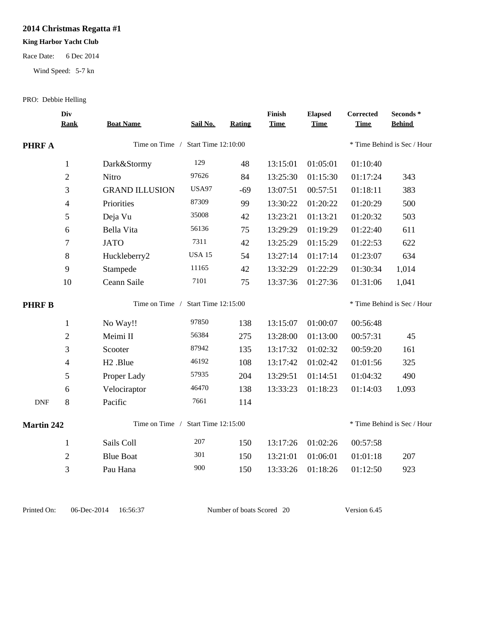# **2014 Christmas Regatta #1**

## **King Harbor Yacht Club**

#### Race Date: 6 Dec 2014

Wind Speed: 5-7 kn

### PRO: Debbie Helling

|                   | Div<br><b>Rank</b>       | <b>Boat Name</b>                      | Sail No.      | Rating                      | Finish<br><b>Time</b> | <b>Elapsed</b><br><b>Time</b> | Corrected<br><b>Time</b> | Seconds *<br><b>Behind</b> |  |
|-------------------|--------------------------|---------------------------------------|---------------|-----------------------------|-----------------------|-------------------------------|--------------------------|----------------------------|--|
| <b>PHRF A</b>     |                          | Time on Time / Start Time 12:10:00    |               | * Time Behind is Sec / Hour |                       |                               |                          |                            |  |
|                   | $\mathbf{1}$             | Dark&Stormy                           | 129           | 48                          | 13:15:01              | 01:05:01                      | 01:10:40                 |                            |  |
|                   | $\mathfrak{2}$           | Nitro                                 | 97626         | 84                          | 13:25:30              | 01:15:30                      | 01:17:24                 | 343                        |  |
|                   | 3                        | <b>GRAND ILLUSION</b>                 | <b>USA97</b>  | $-69$                       | 13:07:51              | 00:57:51                      | 01:18:11                 | 383                        |  |
|                   | $\overline{\mathcal{L}}$ | Priorities                            | 87309         | 99                          | 13:30:22              | 01:20:22                      | 01:20:29                 | 500                        |  |
|                   | 5                        | Deja Vu                               | 35008         | 42                          | 13:23:21              | 01:13:21                      | 01:20:32                 | 503                        |  |
|                   | 6                        | Bella Vita                            | 56136         | 75                          | 13:29:29              | 01:19:29                      | 01:22:40                 | 611                        |  |
|                   | 7                        | <b>JATO</b>                           | 7311          | 42                          | 13:25:29              | 01:15:29                      | 01:22:53                 | 622                        |  |
|                   | 8                        | Huckleberry2                          | <b>USA 15</b> | 54                          | 13:27:14              | 01:17:14                      | 01:23:07                 | 634                        |  |
|                   | 9                        | Stampede                              | 11165         | 42                          | 13:32:29              | 01:22:29                      | 01:30:34                 | 1.014                      |  |
|                   | 10                       | Ceann Saile                           | 7101          | 75                          | 13:37:36              | 01:27:36                      | 01:31:06                 | 1,041                      |  |
| <b>PHRFB</b>      |                          | Start Time 12:15:00<br>Time on Time / |               |                             |                       | * Time Behind is Sec / Hour   |                          |                            |  |
|                   | $\mathbf{1}$             | No Way!!                              | 97850         | 138                         | 13:15:07              | 01:00:07                      | 00:56:48                 |                            |  |
|                   | $\overline{2}$           | Meimi II                              | 56384         | 275                         | 13:28:00              | 01:13:00                      | 00:57:31                 | 45                         |  |
|                   | 3                        | Scooter                               | 87942         | 135                         | 13:17:32              | 01:02:32                      | 00:59:20                 | 161                        |  |
|                   | $\overline{4}$           | H <sub>2</sub> .Blue                  | 46192         | 108                         | 13:17:42              | 01:02:42                      | 01:01:56                 | 325                        |  |
|                   | 5                        | Proper Lady                           | 57935         | 204                         | 13:29:51              | 01:14:51                      | 01:04:32                 | 490                        |  |
|                   | 6                        | Velociraptor                          | 46470         | 138                         | 13:33:23              | 01:18:23                      | 01:14:03                 | 1.093                      |  |
| <b>DNF</b>        | $8\,$                    | Pacific                               | 7661          | 114                         |                       |                               |                          |                            |  |
| <b>Martin 242</b> |                          | Time on Time / Start Time 12:15:00    |               | * Time Behind is Sec / Hour |                       |                               |                          |                            |  |
|                   | $\mathbf{1}$             | Sails Coll                            | 207           | 150                         | 13:17:26              | 01:02:26                      | 00:57:58                 |                            |  |
|                   | $\mathfrak{2}$           | <b>Blue Boat</b>                      | 301           | 150                         | 13:21:01              | 01:06:01                      | 01:01:18                 | 207                        |  |
|                   | 3                        | Pau Hana                              | 900           | 150                         | 13:33:26              | 01:18:26                      | 01:12:50                 | 923                        |  |
|                   |                          |                                       |               |                             |                       |                               |                          |                            |  |

Printed On: 06-Dec-2014 16:56:37 Number of boats Scored 20 Version 6.45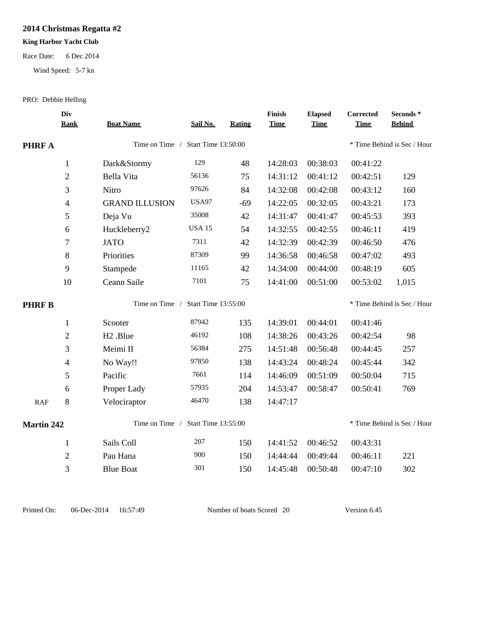# **2014 Christmas Regatta #2**

## **King Harbor Yacht Club**

#### Race Date: 6 Dec 2014

Wind Speed: 5-7 kn

### PRO: Debbie Helling

|                   | Div<br><b>Rank</b>       | <b>Boat Name</b>                      | Sail No.      | <b>Rating</b>               | Finish<br><b>Time</b>       | <b>Elapsed</b><br><b>Time</b> | <b>Corrected</b><br><b>Time</b> | Seconds *<br><b>Behind</b> |  |
|-------------------|--------------------------|---------------------------------------|---------------|-----------------------------|-----------------------------|-------------------------------|---------------------------------|----------------------------|--|
| <b>PHRF A</b>     |                          | Time on Time / Start Time 13:50:00    |               | * Time Behind is Sec / Hour |                             |                               |                                 |                            |  |
|                   | $\mathbf{1}$             | Dark&Stormy                           | 129           | 48                          | 14:28:03                    | 00:38:03                      | 00:41:22                        |                            |  |
|                   | $\overline{2}$           | Bella Vita                            | 56136         | 75                          | 14:31:12                    | 00:41:12                      | 00:42:51                        | 129                        |  |
|                   | 3                        | Nitro                                 | 97626         | 84                          | 14:32:08                    | 00:42:08                      | 00:43:12                        | 160                        |  |
|                   | $\overline{4}$           | <b>GRAND ILLUSION</b>                 | <b>USA97</b>  | $-69$                       | 14:22:05                    | 00:32:05                      | 00:43:21                        | 173                        |  |
|                   | 5                        | Deja Vu                               | 35008         | 42                          | 14:31:47                    | 00:41:47                      | 00:45:53                        | 393                        |  |
|                   | 6                        | Huckleberry2                          | <b>USA 15</b> | 54                          | 14:32:55                    | 00:42:55                      | 00:46:11                        | 419                        |  |
|                   | $\tau$                   | <b>JATO</b>                           | 7311          | 42                          | 14:32:39                    | 00:42:39                      | 00:46:50                        | 476                        |  |
|                   | 8                        | Priorities                            | 87309         | 99                          | 14:36:58                    | 00:46:58                      | 00:47:02                        | 493                        |  |
|                   | 9                        | Stampede                              | 11165         | 42                          | 14:34:00                    | 00:44:00                      | 00:48:19                        | 605                        |  |
|                   | $10\,$                   | Ceann Saile                           | 7101          | 75                          | 14:41:00                    | 00:51:00                      | 00:53:02                        | 1,015                      |  |
| <b>PHRFB</b>      |                          | Time on Time /<br>Start Time 13:55:00 |               |                             | * Time Behind is Sec / Hour |                               |                                 |                            |  |
|                   | $\mathbf{1}$             | Scooter                               | 87942         | 135                         | 14:39:01                    | 00:44:01                      | 00:41:46                        |                            |  |
|                   | $\overline{2}$           | H <sub>2</sub> .Blue                  | 46192         | 108                         | 14:38:26                    | 00:43:26                      | 00:42:54                        | 98                         |  |
|                   | 3                        | Meimi II                              | 56384         | 275                         | 14:51:48                    | 00:56:48                      | 00:44:45                        | 257                        |  |
|                   | $\overline{\mathcal{L}}$ | No Way!!                              | 97850         | 138                         | 14:43:24                    | 00:48:24                      | 00:45:44                        | 342                        |  |
|                   | 5                        | Pacific                               | 7661          | 114                         | 14:46:09                    | 00:51:09                      | 00:50:04                        | 715                        |  |
|                   | 6                        | Proper Lady                           | 57935         | 204                         | 14:53:47                    | 00:58:47                      | 00:50:41                        | 769                        |  |
| RAF               | $8\,$                    | Velociraptor                          | 46470         | 138                         | 14:47:17                    |                               |                                 |                            |  |
| <b>Martin 242</b> |                          | Time on Time /                        |               | * Time Behind is Sec / Hour |                             |                               |                                 |                            |  |
|                   | $\mathbf{1}$             | Sails Coll                            | 207           | 150                         | 14:41:52                    | 00:46:52                      | 00:43:31                        |                            |  |
|                   | $\overline{2}$           | Pau Hana                              | 900           | 150                         | 14:44:44                    | 00:49:44                      | 00:46:11                        | 221                        |  |
|                   | 3                        | <b>Blue Boat</b>                      | 301           | 150                         | 14:45:48                    | 00:50:48                      | 00:47:10                        | 302                        |  |
|                   |                          |                                       |               |                             |                             |                               |                                 |                            |  |

Printed On: 06-Dec-2014 16:57:49 Number of boats Scored 20 Version 6.45